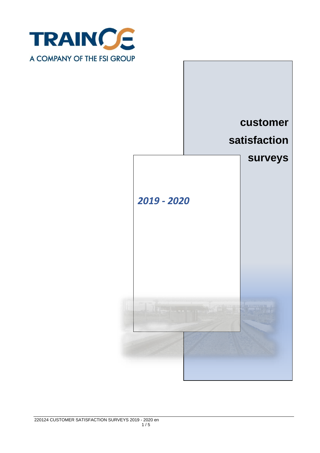

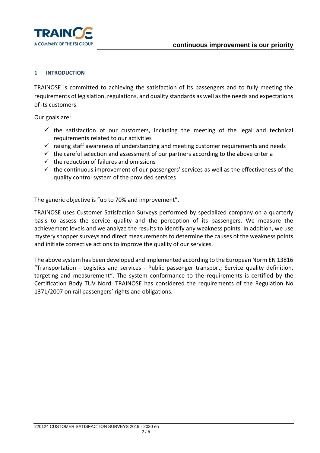

## **1 INTRODUCTION**

TRAINOSE is committed to achieving the satisfaction of its passengers and to fully meeting the requirements of legislation, regulations, and quality standards as well as the needs and expectations of its customers.

Our goals are:

- $\checkmark$  the satisfaction of our customers, including the meeting of the legal and technical requirements related to our activities
- $\checkmark$  raising staff awareness of understanding and meeting customer requirements and needs
- $\checkmark$  the careful selection and assessment of our partners according to the above criteria
- $\checkmark$  the reduction of failures and omissions
- $\checkmark$  the continuous improvement of our passengers' services as well as the effectiveness of the quality control system of the provided services

The generic objective is "up to 70% and improvement".

TRAINOSE uses Customer Satisfaction Surveys performed by specialized company on a quarterly basis to assess the service quality and the perception of its passengers. We measure the achievement levels and we analyze the results to identify any weakness points. In addition, we use mystery shopper surveys and direct measurements to determine the causes of the weakness points and initiate corrective actions to improve the quality of our services.

The above system has been developed and implemented according to the European Norm EN 13816 "Transportation - Logistics and services - Public passenger transport; Service quality definition, targeting and measurement". The system conformance to the requirements is certified by the Certification Body TUV Nord. TRAINOSE has considered the requirements of the Regulation No 1371/2007 on rail passengers' rights and obligations.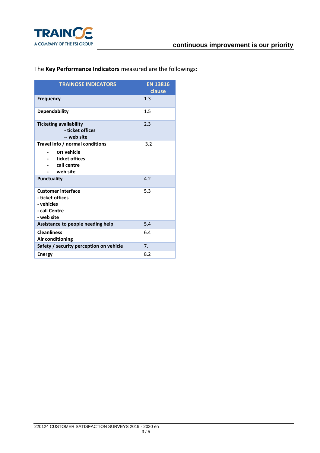

## The **Key Performance Indicators** measured are the followings:

| <b>TRAINOSE INDICATORS</b>                                                                 | <b>EN 13816</b><br>clause |
|--------------------------------------------------------------------------------------------|---------------------------|
| <b>Frequency</b>                                                                           | 1.3                       |
| <b>Dependability</b>                                                                       | 1.5                       |
| <b>Ticketing availability</b><br>- ticket offices<br>-- web site                           | 2.3                       |
| Travel info / normal conditions<br>on vehicle                                              | 3.2                       |
| ticket offices<br>call centre<br>web site                                                  |                           |
| <b>Punctuality</b>                                                                         | 4.2                       |
| <b>Customer interface</b><br>- ticket offices<br>- vehicles<br>- call Centre<br>- web site | 5.3                       |
| Assistance to people needing help                                                          | 5.4                       |
| <b>Cleanliness</b><br>Air conditioning                                                     | 6.4                       |
| Safety / security perception on vehicle                                                    | 7 <sub>1</sub>            |
| <b>Energy</b>                                                                              | 8.2                       |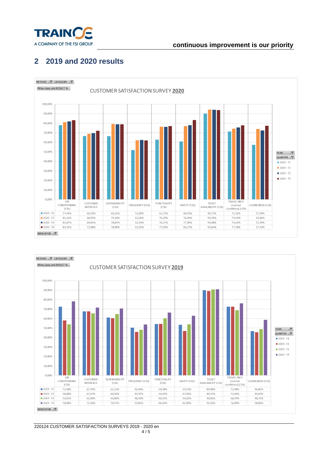

## **continuous improvement is our priority**

## **2 2019 and 2020 results**